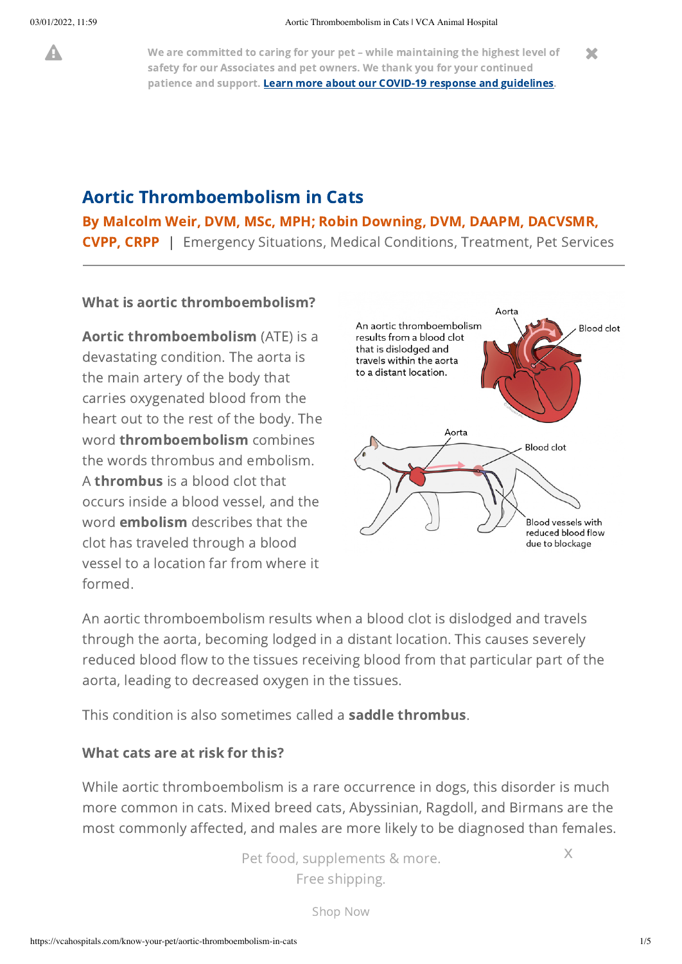A We are committed to caring for your pet – while maintaining the highest level of safety for our Associates and pet owners. We thank you for your continued patience and support. Learn more about our COVID-19 response and [guidelines.](https://vcahospitals.com/covid-19)  $\mathbf x$ 

## Aortic Thromboembolism in Cats

### By Malcolm Weir, DVM, MSc, MPH; Robin Downing, DVM, DAAPM, DACVSMR,

CVPP, CRPP | Emergency Situations, Medical Conditions, Treatment, Pet Services

### What is aortic thromboembolism?

Aortic thromboembolism (ATE) is a devastating condition. The aorta is the main artery of the body that carries oxygenated blood from the heart out to the rest of the body. The word **thromboembolism** combines the words thrombus and embolism. A thrombus is a blood clot that occurs inside a blood vessel, and the word embolism describes that the clot has traveled through a blood vessel to a location far from where it formed.



An aortic thromboembolism results when a blood clot is dislodged and travels through the aorta, becoming lodged in a distant location. This causes severely reduced blood flow to the tissues receiving blood from that particular part of the aorta, leading to decreased oxygen in the tissues.

This condition is also sometimes called a saddle thrombus.

### What cats are at risk for this?

While aortic thromboembolism is a rare occurrence in dogs, this disorder is much more common in cats. Mixed breed cats, Abyssinian, Ragdoll, and Birmans are the most commonly affected, and males are more likely to be diagnosed than females.

 $\Gamma$  at food currelexecute  $\Omega$  reported as 1  $\Gamma$ commonly occurs between 8 – 12 years of age. 12 years of age. 12 years of age. 12 years of age. 12 years of ag<br>. The commonly of age. 12 years of age. 12 years of age. 12 years of age. 12 years of age. 12 years of age. 12 Pet food, supplements & more. Free shipping.

x

[Shop](https://vcahospitals.com/shop/?utm_source=Hospital%20Site&utm_medium=KYP%20CTA&utm_campaign=coronavirus&utm_content=Pet%20Food%20More&utm_term=Shop%20Now) Now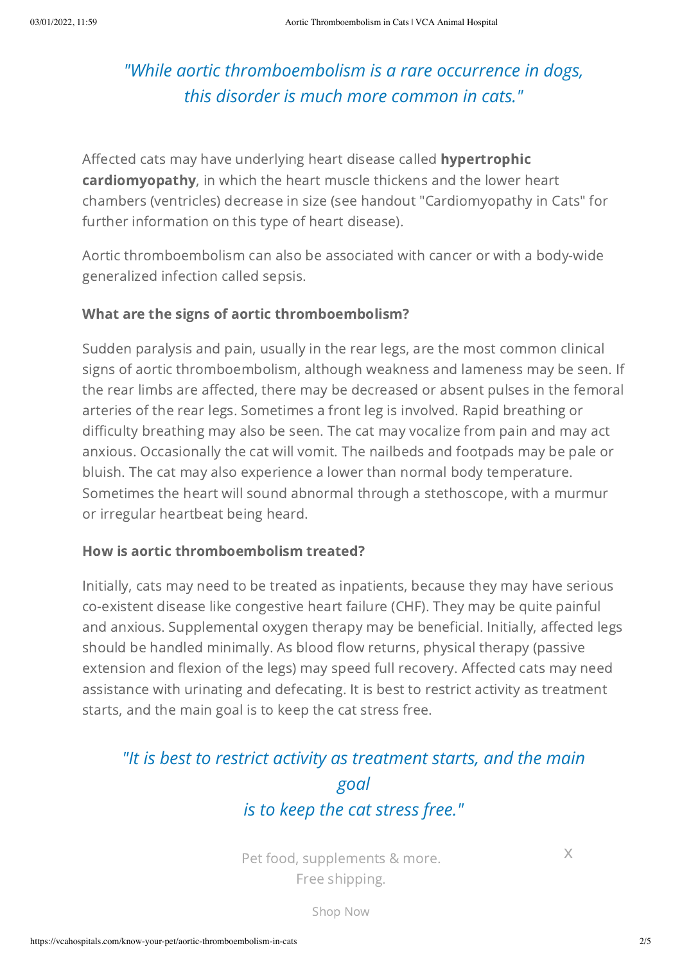## *"While aortic thromboembolism is a rare occurrence in dogs, this disorder is much more common in cats."*

Affected cats may have underlying heart disease called **hypertrophic** cardiomyopathy, in which the heart muscle thickens and the lower heart chambers (ventricles) decrease in size (see handout "Cardiomyopathy in Cats" for further information on this type of heart disease).

Aortic thromboembolism can also be associated with cancer or with a body-wide generalized infection called sepsis.

### What are the signs of aortic thromboembolism?

Sudden paralysis and pain, usually in the rear legs, are the most common clinical signs of aortic thromboembolism, although weakness and lameness may be seen. If the rear limbs are affected, there may be decreased or absent pulses in the femoral arteries of the rear legs. Sometimes a front leg is involved. Rapid breathing or difficulty breathing may also be seen. The cat may vocalize from pain and may act anxious. Occasionally the cat will vomit. The nailbeds and footpads may be pale or bluish. The cat may also experience a lower than normal body temperature. Sometimes the heart will sound abnormal through a stethoscope, with a murmur or irregular heartbeat being heard.

### How is aortic thromboembolism treated?

Initially, cats may need to be treated as inpatients, because they may have serious co-existent disease like congestive heart failure (CHF). They may be quite painful and anxious. Supplemental oxygen therapy may be beneficial. Initially, affected legs should be handled minimally. As blood flow returns, physical therapy (passive extension and flexion of the legs) may speed full recovery. Affected cats may need assistance with urinating and defecating. It is best to restrict activity as treatment starts, and the main goal is to keep the cat stress free.

## *"It is best to restrict activity as treatment starts, and the main goal is to keep the cat stress free."*

Free shipping. Pet food, supplements & more.

x

condition called hepatic lipidosis or fattor  $\mathcal{S}$  hop. Now fattor can be fattor can be fattor can be fattor can be fattor can be fattor can be fattor can be fattor can be fattor can be fattor can be fattor can be fatto Shop Now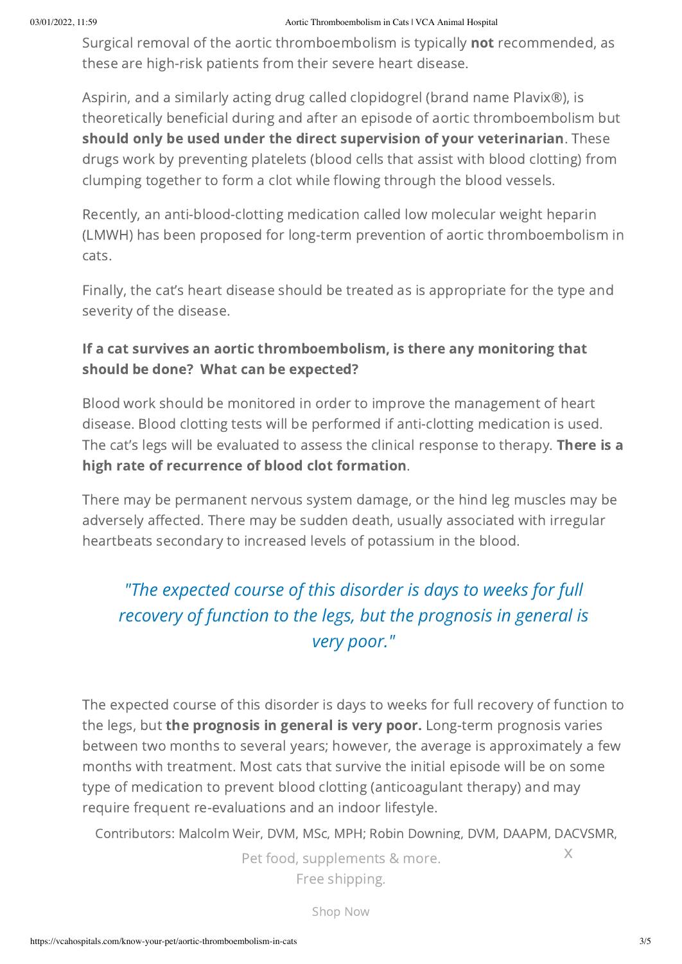#### 03/01/2022, 11:59 Aortic Thromboembolism in Cats | VCA Animal Hospital

Surgical removal of the aortic thromboembolism is typically not recommended, as these are high-risk patients from their severe heart disease.

Aspirin, and a similarly acting drug called clopidogrel (brand name Plavix®), is theoretically beneficial during and after an episode of aortic thromboembolism but should only be used under the direct supervision of your veterinarian. These drugs work by preventing platelets (blood cells that assist with blood clotting) from clumping together to form a clot while flowing through the blood vessels.

Recently, an anti-blood-clotting medication called low molecular weight heparin (LMWH) has been proposed for long-term prevention of aortic thromboembolism in cats.

Finally, the cat's heart disease should be treated as is appropriate for the type and severity of the disease.

## If a cat survives an aortic thromboembolism, is there any monitoring that should be done? What can be expected?

Blood work should be monitored in order to improve the management of heart disease. Blood clotting tests will be performed if anti-clotting medication is used. The cat's legs will be evaluated to assess the clinical response to therapy. There is a high rate of recurrence of blood clot formation.

There may be permanent nervous system damage, or the hind leg muscles may be adversely affected. There may be sudden death, usually associated with irregular heartbeats secondary to increased levels of potassium in the blood.

## *"The expected course of this disorder is days to weeks for full recovery of function to the legs, but the prognosis in general is very poor."*

The expected course of this disorder is days to weeks for full recovery of function to the legs, but the prognosis in general is very poor. Long-term prognosis varies between two months to several years; however, the average is approximately a few months with treatment. Most cats that survive the initial episode will be on some type of medication to prevent blood clotting (anticoagulant therapy) and may require frequent re-evaluations and an indoor lifestyle.

Contributors: Malcolm Weir, DVM, MSc, MPH; Robin Downing, DVM, DAAPM, DACVSMR,

Pet food, supplements & more. Free shipping.

x

[Shop](https://vcahospitals.com/shop/?utm_source=Hospital%20Site&utm_medium=KYP%20CTA&utm_campaign=coronavirus&utm_content=Pet%20Food%20More&utm_term=Shop%20Now) Now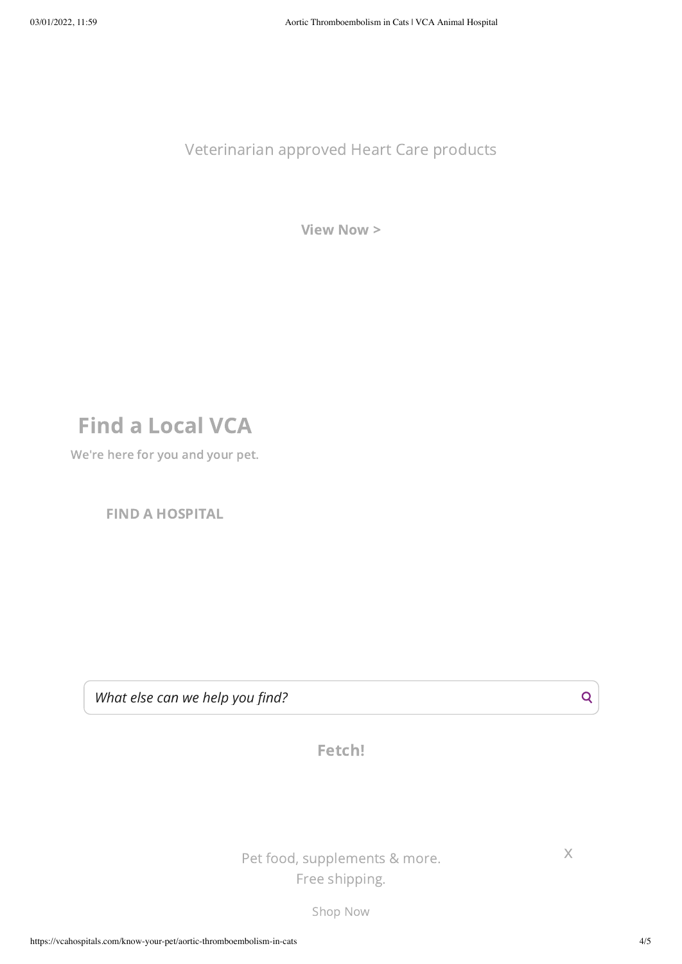Veterinarian approved Heart Care products

[View](https://vcahospitals.com/shop/category/vca_master-vca-allcategories-supplements-heartcare) Now >

# Find a Local VCA

We're here for you and your pet.

FIND A [HOSPITAL](https://vcahospitals.com/find-a-hospital)

*What else can we help you find?*

Fetch!

Pet food, supplements & more. Free shipping.

[Shop](https://vcahospitals.com/shop/?utm_source=Hospital%20Site&utm_medium=KYP%20CTA&utm_campaign=coronavirus&utm_content=Pet%20Food%20More&utm_term=Shop%20Now) Now

x

Q